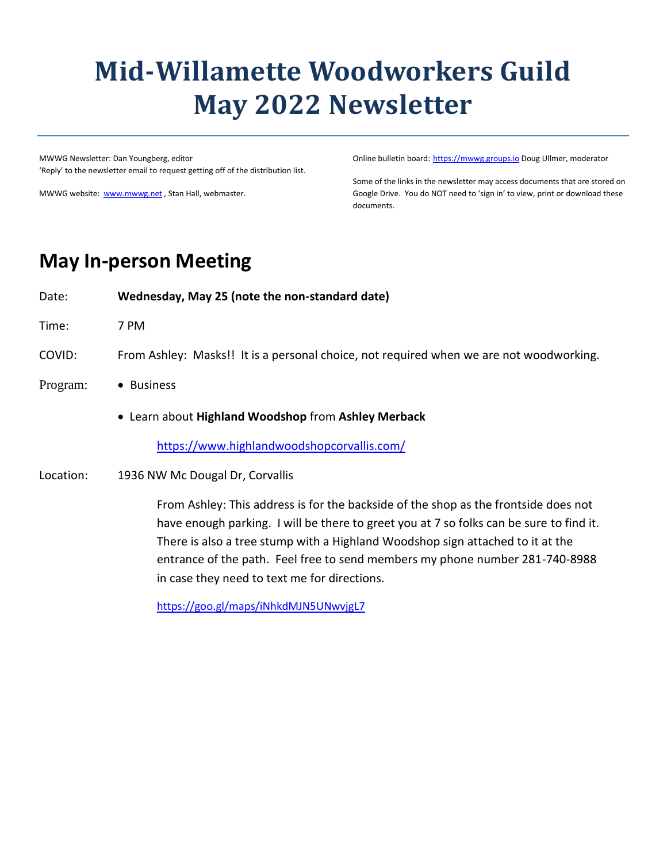# **Mid-Willamette Woodworkers Guild May 2022 Newsletter**

MWWG Newsletter: Dan Youngberg, editor 'Reply' to the newsletter email to request getting off of the distribution list.

MWWG website: [www.mwwg.net](http://www.mwwg.net/), Stan Hall, webmaster.

Online bulletin board: [https://mwwg.groups.io](https://mwwg.groups.io/) Doug Ullmer, moderator

Some of the links in the newsletter may access documents that are stored on Google Drive. You do NOT need to 'sign in' to view, print or download these documents.

# **May In-person Meeting**

Date: **Wednesday, May 25 (note the non-standard date)**

Time: 7 PM

COVID: From Ashley: Masks!! It is a personal choice, not required when we are not woodworking.

- Program: Business
	- Learn about **Highland Woodshop** from **Ashley Merback**

<https://www.highlandwoodshopcorvallis.com/>

Location: 1936 NW Mc Dougal Dr, Corvallis

From Ashley: This address is for the backside of the shop as the frontside does not have enough parking. I will be there to greet you at 7 so folks can be sure to find it. There is also a tree stump with a Highland Woodshop sign attached to it at the entrance of the path. Feel free to send members my phone number 281-740-8988 in case they need to text me for directions.

<https://goo.gl/maps/iNhkdMJN5UNwvjgL7>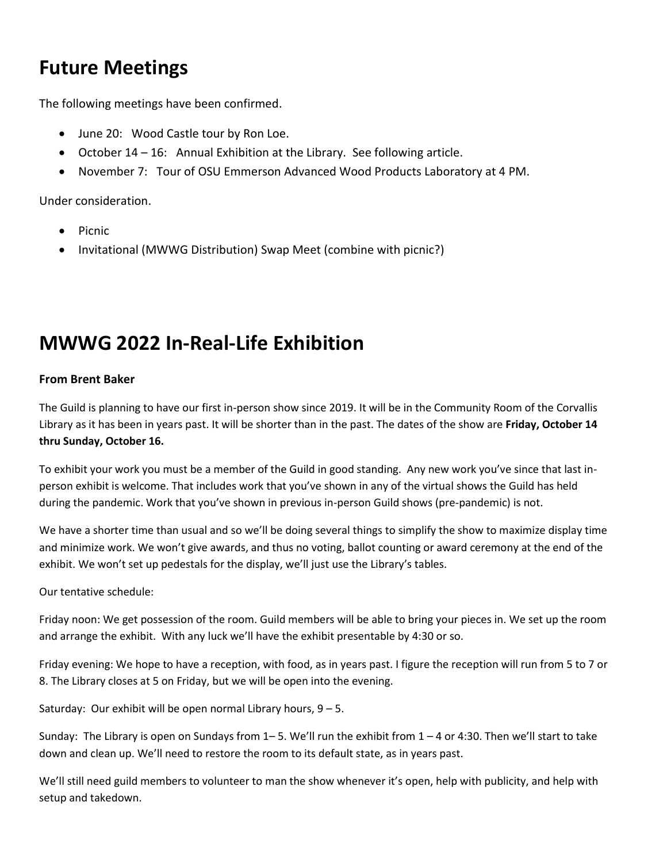# **Future Meetings**

The following meetings have been confirmed.

- June 20: Wood Castle tour by Ron Loe.
- October 14 16: Annual Exhibition at the Library. See following article.
- November 7: Tour of OSU Emmerson Advanced Wood Products Laboratory at 4 PM.

Under consideration.

- Picnic
- Invitational (MWWG Distribution) Swap Meet (combine with picnic?)

# **MWWG 2022 In-Real-Life Exhibition**

#### **From Brent Baker**

The Guild is planning to have our first in-person show since 2019. It will be in the Community Room of the Corvallis Library as it has been in years past. It will be shorter than in the past. The dates of the show are **Friday, October 14 thru Sunday, October 16.** 

To exhibit your work you must be a member of the Guild in good standing. Any new work you've since that last inperson exhibit is welcome. That includes work that you've shown in any of the virtual shows the Guild has held during the pandemic. Work that you've shown in previous in-person Guild shows (pre-pandemic) is not.

We have a shorter time than usual and so we'll be doing several things to simplify the show to maximize display time and minimize work. We won't give awards, and thus no voting, ballot counting or award ceremony at the end of the exhibit. We won't set up pedestals for the display, we'll just use the Library's tables.

Our tentative schedule:

Friday noon: We get possession of the room. Guild members will be able to bring your pieces in. We set up the room and arrange the exhibit. With any luck we'll have the exhibit presentable by 4:30 or so.

Friday evening: We hope to have a reception, with food, as in years past. I figure the reception will run from 5 to 7 or 8. The Library closes at 5 on Friday, but we will be open into the evening.

Saturday: Our exhibit will be open normal Library hours,  $9 - 5$ .

Sunday: The Library is open on Sundays from 1– 5. We'll run the exhibit from 1 – 4 or 4:30. Then we'll start to take down and clean up. We'll need to restore the room to its default state, as in years past.

We'll still need guild members to volunteer to man the show whenever it's open, help with publicity, and help with setup and takedown.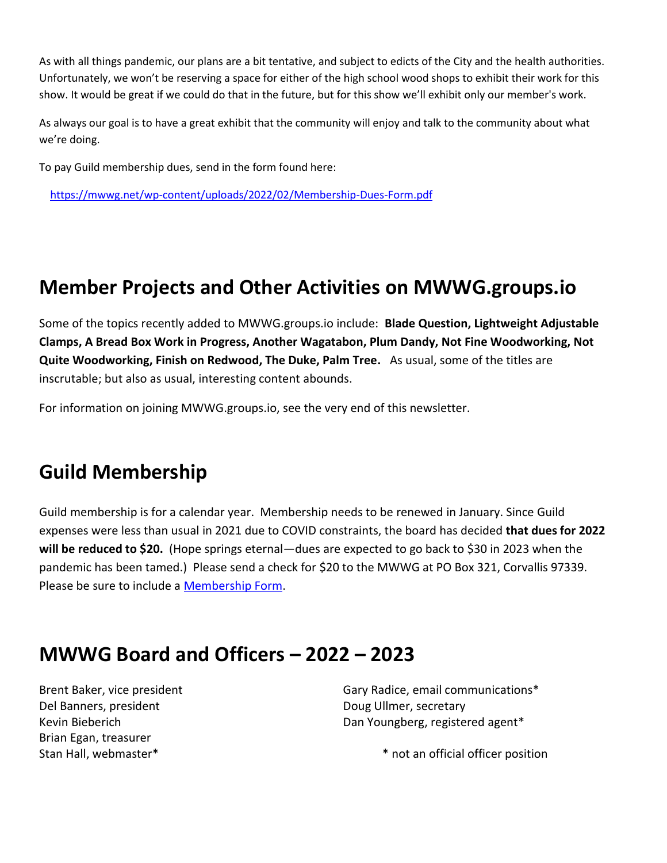As with all things pandemic, our plans are a bit tentative, and subject to edicts of the City and the health authorities. Unfortunately, we won't be reserving a space for either of the high school wood shops to exhibit their work for this show. It would be great if we could do that in the future, but for this show we'll exhibit only our member's work.

As always our goal is to have a great exhibit that the community will enjoy and talk to the community about what we're doing.

To pay Guild membership dues, send in the form found here:

<https://mwwg.net/wp-content/uploads/2022/02/Membership-Dues-Form.pdf>

# **Member Projects and Other Activities on MWWG.groups.io**

Some of the topics recently added to MWWG.groups.io include: **Blade Question, Lightweight Adjustable Clamps, A Bread Box Work in Progress, Another Wagatabon, Plum Dandy, Not Fine Woodworking, Not Quite Woodworking, Finish on Redwood, The Duke, Palm Tree.** As usual, some of the titles are inscrutable; but also as usual, interesting content abounds.

For information on joining MWWG.groups.io, see the very end of this newsletter.

# **Guild Membership**

Guild membership is for a calendar year. Membership needs to be renewed in January. Since Guild expenses were less than usual in 2021 due to COVID constraints, the board has decided **that dues for 2022 will be reduced to \$20.** (Hope springs eternal—dues are expected to go back to \$30 in 2023 when the pandemic has been tamed.) Please send a check for \$20 to the MWWG at PO Box 321, Corvallis 97339. Please be sure to include a [Membership Form.](https://drive.google.com/open?id=1wBVVWrB7vK4yX1Ny3MrvolqrMbRKvaMmY4PR8ndyS2E)

# **MWWG Board and Officers – 2022 – 2023**

Brent Baker, vice president Del Banners, president Kevin Bieberich Brian Egan, treasurer Stan Hall, webmaster\*

Gary Radice, email communications\* Doug Ullmer, secretary Dan Youngberg, registered agent\*

\* not an official officer position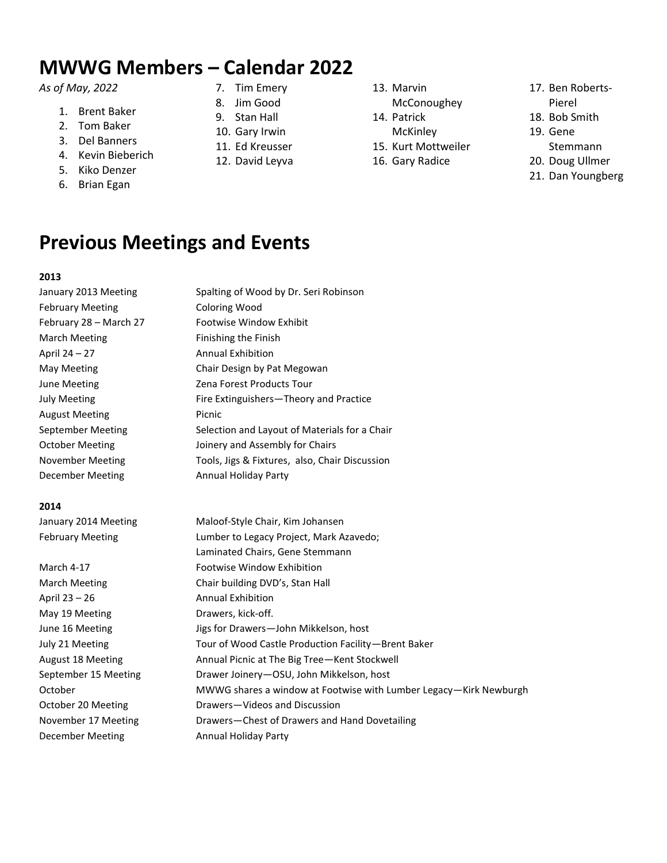# **MWWG Members – Calendar 2022**

#### *As of May, 2022*

- 1. Brent Baker
- 2. Tom Baker
- 3. Del Banners
- 4. Kevin Bieberich
- 5. Kiko Denzer
- 6. Brian Egan
- 7. Tim Emery
- 8. Jim Good
- 9. Stan Hall
- 10. Gary Irwin
- 11. Ed Kreusser 12. David Leyva
- 13. Marvin
- McConoughey
- 14. Patrick
	- **McKinley**
- 15. Kurt Mottweiler
- 16. Gary Radice
- 17. Ben Roberts-
- Pierel
- 18. Bob Smith
- 19. Gene
- Stemmann
- 20. Doug Ullmer
- 21. Dan Youngberg

### **Previous Meetings and Events**

#### **2013**

January 2013 Meeting Spalting of Wood by Dr. Seri Robinson February Meeting **Coloring Wood** February 28 – March 27 Footwise Window Exhibit March Meeting **Finishing** the Finish April 24 – 27 Annual Exhibition May Meeting **Chair Design by Pat Megowan** June Meeting The Meeting Capacase 2 Zena Forest Products Tour July Meeting **Fire Extinguishers—Theory and Practice** August Meeting **Picnic** September Meeting Selection and Layout of Materials for a Chair October Meeting **Ionery and Assembly for Chairs** November Meeting Tools, Jigs & Fixtures, also, Chair Discussion December Meeting **Annual Holiday Party** 

#### **2014**

January 2014 Meeting Maloof-Style Chair, Kim Johansen February Meeting **Lumber to Legacy Project, Mark Azavedo**; Laminated Chairs, Gene Stemmann

March 4-17 Footwise Window Exhibition March Meeting Chair building DVD's, Stan Hall April 23 – 26 Annual Exhibition May 19 Meeting **Drawers**, kick-off. June 16 Meeting **June 16 Meeting** Jigs for Drawers-John Mikkelson, host July 21 Meeting Tour of Wood Castle Production Facility—Brent Baker August 18 Meeting **Annual Picnic at The Big Tree—Kent Stockwell** September 15 Meeting Drawer Joinery-OSU, John Mikkelson, host October MWWG shares a window at Footwise with Lumber Legacy—Kirk Newburgh October 20 Meeting Drawers-Videos and Discussion November 17 Meeting Drawers—Chest of Drawers and Hand Dovetailing December Meeting **Annual Holiday Party**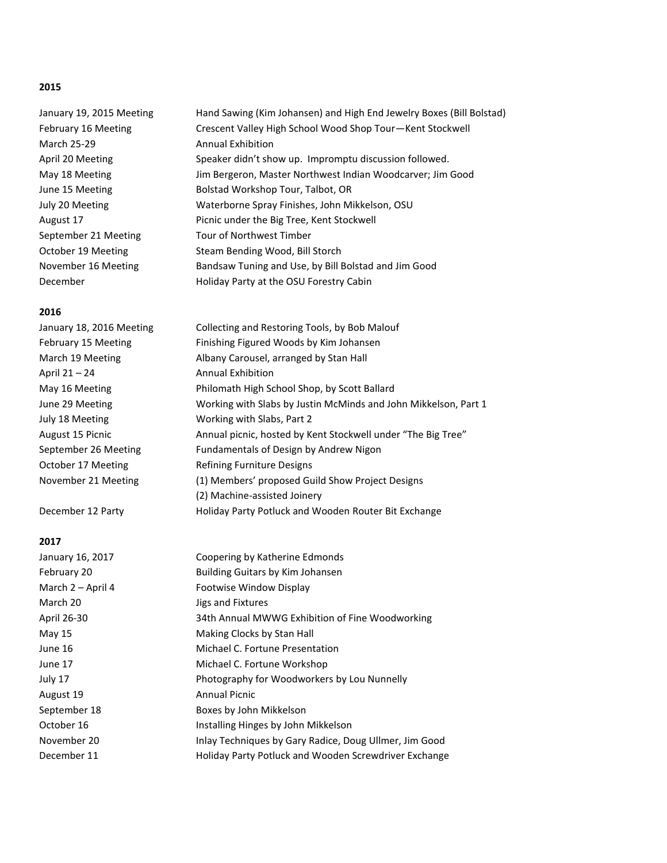#### **2015**

January 19, 2015 Meeting Hand Sawing (Kim Johansen) and High End Jewelry Boxes (Bill Bolstad) February 16 Meeting Crescent Valley High School Wood Shop Tour-Kent Stockwell March 25-29 **Annual Exhibition** April 20 Meeting Speaker didn't show up. Impromptu discussion followed. May 18 Meeting Jim Bergeron, Master Northwest Indian Woodcarver; Jim Good June 15 Meeting **Bolstad Workshop Tour, Talbot, OR** July 20 Meeting Waterborne Spray Finishes, John Mikkelson, OSU August 17 **Picnic under the Big Tree, Kent Stockwell** September 21 Meeting Tour of Northwest Timber October 19 Meeting Steam Bending Wood, Bill Storch November 16 Meeting Bandsaw Tuning and Use, by Bill Bolstad and Jim Good December **Holiday Party at the OSU Forestry Cabin** 

#### **2016**

| January 18, 2016 Meeting | Collecting and Restoring Tools, by Bob Malouf                   |
|--------------------------|-----------------------------------------------------------------|
| February 15 Meeting      | Finishing Figured Woods by Kim Johansen                         |
| March 19 Meeting         | Albany Carousel, arranged by Stan Hall                          |
| April 21 - 24            | <b>Annual Exhibition</b>                                        |
| May 16 Meeting           | Philomath High School Shop, by Scott Ballard                    |
| June 29 Meeting          | Working with Slabs by Justin McMinds and John Mikkelson, Part 1 |
| July 18 Meeting          | Working with Slabs, Part 2                                      |
| August 15 Picnic         | Annual picnic, hosted by Kent Stockwell under "The Big Tree"    |
| September 26 Meeting     | Fundamentals of Design by Andrew Nigon                          |
| October 17 Meeting       | Refining Furniture Designs                                      |
| November 21 Meeting      | (1) Members' proposed Guild Show Project Designs                |
|                          | (2) Machine-assisted Joinery                                    |
| December 12 Party        | Holiday Party Potluck and Wooden Router Bit Exchange            |

#### **2017**

| Coopering by Katherine Edmonds                               |
|--------------------------------------------------------------|
| Building Guitars by Kim Johansen                             |
| Footwise Window Display                                      |
| Jigs and Fixtures                                            |
| 34th Annual MWWG Exhibition of Fine Woodworking              |
| Making Clocks by Stan Hall                                   |
| Michael C. Fortune Presentation                              |
| Michael C. Fortune Workshop                                  |
| Photography for Woodworkers by Lou Nunnelly                  |
| Annual Picnic                                                |
| Boxes by John Mikkelson                                      |
| Installing Hinges by John Mikkelson                          |
| Inlay Techniques by Gary Radice, Doug Ullmer, Jim Good       |
| <b>Holiday Party Potluck and Wooden Screwdriver Exchange</b> |
|                                                              |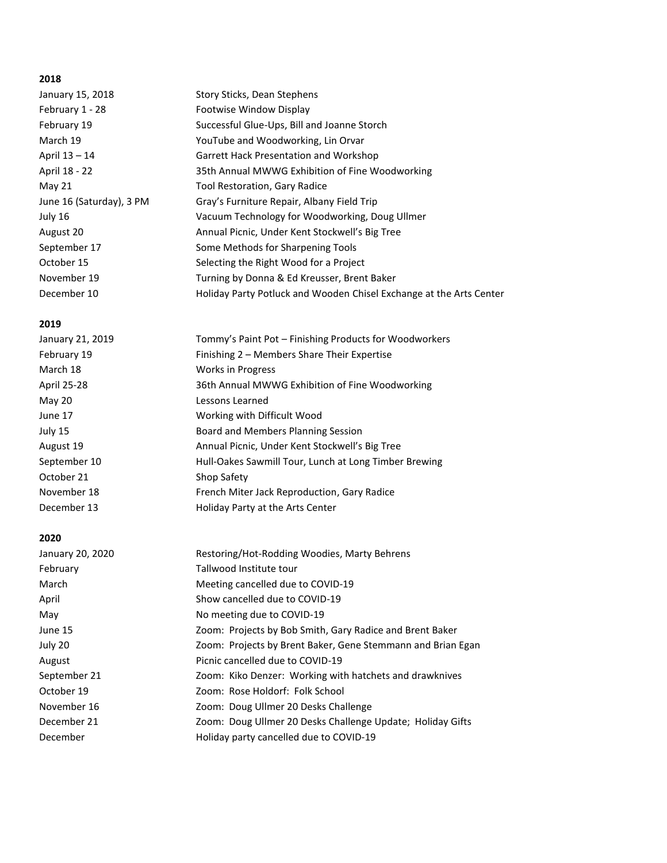#### **2018**

| January 15, 2018         | Story Sticks, Dean Stephens                                         |
|--------------------------|---------------------------------------------------------------------|
| February 1 - 28          | Footwise Window Display                                             |
| February 19              | Successful Glue-Ups, Bill and Joanne Storch                         |
| March 19                 | YouTube and Woodworking, Lin Orvar                                  |
| April 13 – 14            | <b>Garrett Hack Presentation and Workshop</b>                       |
| April 18 - 22            | 35th Annual MWWG Exhibition of Fine Woodworking                     |
| May 21                   | Tool Restoration, Gary Radice                                       |
| June 16 (Saturday), 3 PM | Gray's Furniture Repair, Albany Field Trip                          |
| July 16                  | Vacuum Technology for Woodworking, Doug Ullmer                      |
| August 20                | Annual Picnic, Under Kent Stockwell's Big Tree                      |
| September 17             | Some Methods for Sharpening Tools                                   |
| October 15               | Selecting the Right Wood for a Project                              |
| November 19              | Turning by Donna & Ed Kreusser, Brent Baker                         |
| December 10              | Holiday Party Potluck and Wooden Chisel Exchange at the Arts Center |

#### **2019**

| January 21, 2019 | Tommy's Paint Pot – Finishing Products for Woodworkers |
|------------------|--------------------------------------------------------|
| February 19      | Finishing 2 - Members Share Their Expertise            |
| March 18         | <b>Works in Progress</b>                               |
| April 25-28      | 36th Annual MWWG Exhibition of Fine Woodworking        |
| May 20           | Lessons Learned                                        |
| June 17          | Working with Difficult Wood                            |
| July 15          | Board and Members Planning Session                     |
| August 19        | Annual Picnic, Under Kent Stockwell's Big Tree         |
| September 10     | Hull-Oakes Sawmill Tour, Lunch at Long Timber Brewing  |
| October 21       | Shop Safety                                            |
| November 18      | French Miter Jack Reproduction, Gary Radice            |
| December 13      | Holiday Party at the Arts Center                       |

#### **2020**

| January 20, 2020 | Restoring/Hot-Rodding Woodies, Marty Behrens                |
|------------------|-------------------------------------------------------------|
| February         | Tallwood Institute tour                                     |
| March            | Meeting cancelled due to COVID-19                           |
| April            | Show cancelled due to COVID-19                              |
| May              | No meeting due to COVID-19                                  |
| June 15          | Zoom: Projects by Bob Smith, Gary Radice and Brent Baker    |
| July 20          | Zoom: Projects by Brent Baker, Gene Stemmann and Brian Egan |
| August           | Picnic cancelled due to COVID-19                            |
| September 21     | Zoom: Kiko Denzer: Working with hatchets and drawknives     |
| October 19       | Zoom: Rose Holdorf: Folk School                             |
| November 16      | Zoom: Doug Ullmer 20 Desks Challenge                        |
| December 21      | Zoom: Doug Ullmer 20 Desks Challenge Update; Holiday Gifts  |
| December         | Holiday party cancelled due to COVID-19                     |